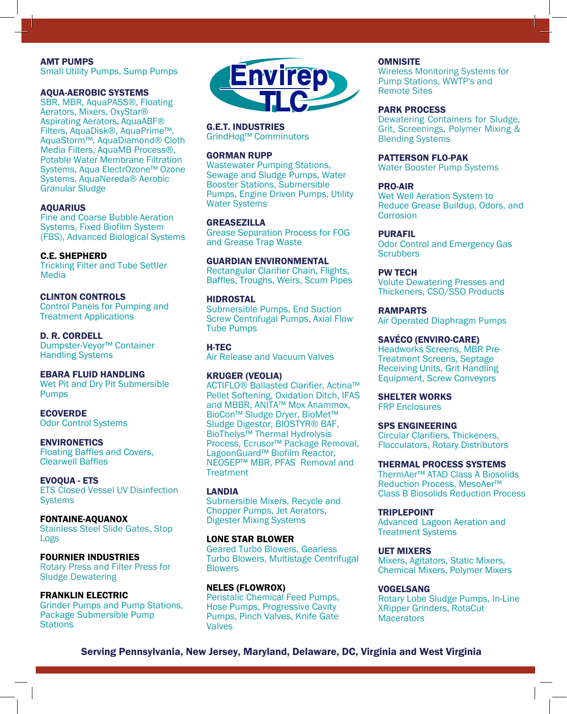#### AMT PUMPS

Small Utility Pumps, Sump Pumps

#### AQUA-AEROBIC SYSTEMS

SBR, MBR, AquaPASS®, Floating Aerators, Mixers, OxyStar® Aspirating Aerators, AquaABF® Filters, AquaDisk®, AquaPrime™, AquaStorm™, AquaDiamond® Cloth Media Filters, AquaMB Process®, Potable Water Membrane Filtration Systems, Aqua ElectrOzone™ Ozone Systems, AquaNereda® Aerobic Granular Sludge

#### AQUARIUS

Fine and Coarse Bubble Aeration Systems, Fixed Biofilm System (FBS), Advanced Biological Systems

#### C.E. SHEPHERD

Trickling Filter and Tube Settler Media

#### CLINTON CONTROLS

Control Panels for Pumping and Treatment Applications

#### D. R. CORDELL Dumpster-Veyor™ Container Handling Systems

#### EBARA FLUID HANDLING

Wet Pit and Dry Pit Submersible **Pumps** 

**ECOVERDE** Odor Control Systems

#### ENVIRONETICS Floating Baffles and Covers, Clearwell Baffles

EVOQUA - ETS ETS Closed Vessel UV Disinfection **Systems** 

FONTAINE-AQUANOX Stainless Steel Slide Gates, Stop Logs

FOURNIER INDUSTRIES Rotary Press and Filter Press for Sludge Dewatering

FRANKLIN ELECTRIC Grinder Pumps and Pump Stations, Package Submersible Pump **Stations** 



### G.E.T. INDUSTRIES

GrindHog™ Comminutors

#### GORMAN RUPP

Wastewater Pumping Stations, Sewage and Sludge Pumps, Water Booster Stations, Submersible Pumps, Engine Driven Pumps, Utility Water Systems

#### GREASEZILLA

Grease Separation Process for FOG and Grease Trap Waste

#### GUARDIAN ENVIRONMENTAL

Rectangular Clarifier Chain, Flights, Baffles, Troughs, Weirs, Scum Pipes

#### HIDROSTAL

Submersible Pumps, End Suction Screw Centrifugal Pumps, Axial Flow Tube Pumps

H-TEC Air Release and Vacuum Valves

#### KRUGER (VEOLIA)

ACTIFLO® Ballasted Clarifier, Actina™ Pellet Softening, Oxidation Ditch, IFAS and MBBR, ANITA™ Mox Anammox, BioCon™ Sludge Dryer, BioMet™ Sludge Digestor, BIOSTYR® BAF, BioThelys™ Thermal Hydrolysis Process, Ecrusor™ Package Removal, LagoonGuard™ Biofilm Reactor, NEOSEP™ MBR, PFAS Removal and **Treatment** 

#### LANDIA Submersible Mixers, Recycle and Chopper Pumps, Jet Aerators, Digester Mixing Systems

LONE STAR BLOWER Geared Turbo Blowers, Gearless Turbo Blowers, Multistage Centrifugal **Blowers** 

NELES (FLOWROX) Peristalic Chemical Feed Pumps, Hose Pumps, Progressive Cavity Pumps, Pinch Valves, Knife Gate Valves

Wireless Monitoring Systems for Pump Stations, WWTP's and Remote Sites

#### PARK PROCESS

Dewatering Containers for Sludge, Grit, Screenings, Polymer Mixing & Blending Systems

#### PATTERSON FLO-PAK

Water Booster Pump Systems

#### PRO-AIR

Wet Well Aeration System to Reduce Grease Buildup, Odors, and Corrosion

#### PURAFIL

Odor Control and Emergency Gas **Scrubbers** 

#### PW TECH

Volute Dewatering Presses and Thickeners, CSO/SSO Products

#### RAMPARTS

Air Operated Diaphragm Pumps

#### SAVÉCO (ENVIRO-CARE)

Headworks Screens, MBR Pre-Treatment Screens, Septage Receiving Units, Grit Handling Equipment, Screw Conveyors

#### SHELTER WORKS

FRP Enclosures

#### SPS ENGINEERING

Circular Clarifiers, Thickeners, Flocculators, Rotary Distributors

#### THERMAL PROCESS SYSTEMS

ThermAer™ ATAD Class A Biosolids Reduction Process, MesoAer™ Class B Biosolids Reduction Process

#### TRIPLEPOINT

Advanced Lagoon Aeration and Treatment Systems

#### UET MIXERS

Mixers, Agitators, Static Mixers, Chemical Mixers, Polymer Mixers

#### VOGELSANG

Rotary Lobe Sludge Pumps, In-Line XRipper Grinders, RotaCut **Macerators** 

Serving Pennsylvania, New Jersey, Maryland, Delaware, DC, Virginia and West Virginia